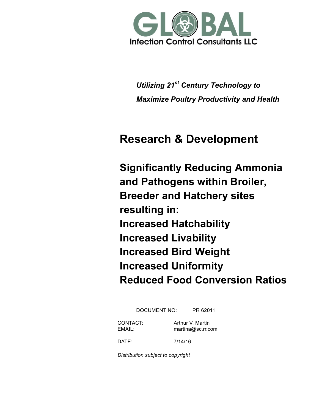

*Utilizing 21st Century Technology to Maximize Poultry Productivity and Health*

# **Research & Development**

**Significantly Reducing Ammonia and Pathogens within Broiler, Breeder and Hatchery sites resulting in: Increased Hatchability Increased Livability Increased Bird Weight Increased Uniformity Reduced Food Conversion Ratios**

DOCUMENT NO: PR 62011

CONTACT: Arthur V. Martin EMAIL: martina@sc.rr.com

DATE: 7/14/16

*Distribution subject to copyright*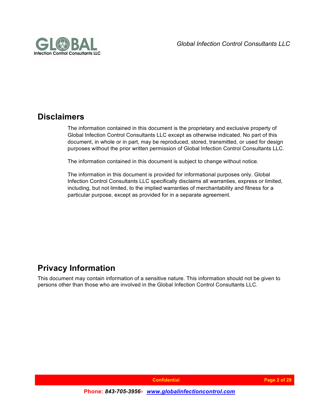

### **Disclaimers**

The information contained in this document is the proprietary and exclusive property of Global Infection Control Consultants LLC except as otherwise indicated. No part of this document, in whole or in part, may be reproduced, stored, transmitted, or used for design purposes without the prior written permission of Global Infection Control Consultants LLC.

The information contained in this document is subject to change without notice.

The information in this document is provided for informational purposes only. Global Infection Control Consultants LLC specifically disclaims all warranties, express or limited, including, but not limited, to the implied warranties of merchantability and fitness for a particular purpose, except as provided for in a separate agreement.

### **Privacy Information**

This document may contain information of a sensitive nature. This information should not be given to persons other than those who are involved in the Global Infection Control Consultants LLC*.*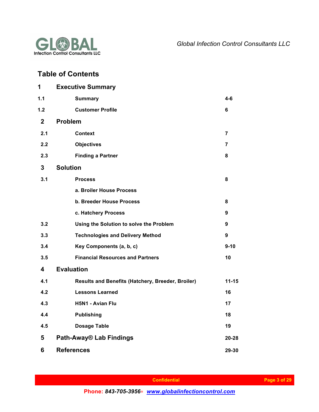

### **Table of Contents**

| 1              | <b>Executive Summary</b>                          |                  |
|----------------|---------------------------------------------------|------------------|
| 1.1            | <b>Summary</b>                                    | 4-6              |
| 1.2            | <b>Customer Profile</b>                           | 6                |
| $\overline{2}$ | <b>Problem</b>                                    |                  |
| 2.1            | <b>Context</b>                                    | 7                |
| 2.2            | <b>Objectives</b>                                 | 7                |
| 2.3            | <b>Finding a Partner</b>                          | 8                |
| 3              | <b>Solution</b>                                   |                  |
| 3.1            | <b>Process</b>                                    | 8                |
|                | a. Broiler House Process                          |                  |
|                | <b>b. Breeder House Process</b>                   | 8                |
|                | c. Hatchery Process                               | 9                |
| 3.2            | Using the Solution to solve the Problem           | $\boldsymbol{9}$ |
| 3.3            | <b>Technologies and Delivery Method</b>           | 9                |
| 3.4            | Key Components (a, b, c)                          | $9 - 10$         |
| 3.5            | <b>Financial Resources and Partners</b>           | 10               |
| 4              | <b>Evaluation</b>                                 |                  |
| 4.1            | Results and Benefits (Hatchery, Breeder, Broiler) | $11 - 15$        |
| 4.2            | <b>Lessons Learned</b>                            | 16               |
| 4.3            | H5N1 - Avian Flu                                  | 17               |
| 4.4            | <b>Publishing</b>                                 | 18               |
| 4.5            | <b>Dosage Table</b>                               | 19               |
| 5              | Path-Away® Lab Findings                           | 20-28            |
| 6              | <b>References</b>                                 | 29-30            |

 **Page 3 of 29**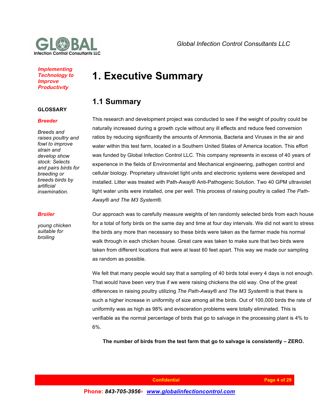

#### **Implementing Technology to Improve Productivity**

#### **GLOSSARY**

#### *Breeder*

*Breeds and raises poultry and fowl to improve strain and develop show stock: Selects and pairs birds for breeding or breeds birds by artificial insemination.*

#### *Broiler*

*young chicken suitable for broiling*

# **1. Executive Summary**

### **1.1 Summary**

This research and development project was conducted to see if the weight of poultry could be naturally increased during a growth cycle without any ill effects and reduce feed conversion ratios by reducing significantly the amounts of Ammonia, Bacteria and Viruses in the air and water within this test farm, located in a Southern United States of America location. This effort was funded by Global Infection Control LLC. This company represents in excess of 40 years of experience in the fields of Environmental and Mechanical engineering, pathogen control and cellular biology. Proprietary ultraviolet light units and electronic systems were developed and installed. Litter was treated with Path-Away® Anti-Pathogenic Solution. Two 40 GPM ultraviolet light water units were installed, one per well. This process of raising poultry is called *The Path-Away® and The M3 System®.*

Our approach was to carefully measure weights of ten randomly selected birds from each house for a total of forty birds on the same day and time at four day intervals. We did not want to stress the birds any more than necessary so these birds were taken as the farmer made his normal walk through in each chicken house. Great care was taken to make sure that two birds were taken from different locations that were at least 60 feet apart. This way we made our sampling as random as possible.

We felt that many people would say that a sampling of 40 birds total every 4 days is not enough. That would have been very true if we were raising chickens the old way. One of the great differences in raising poultry utilizing *The Path-Away® and The M3 System®* is that there is such a higher increase in uniformity of size among all the birds. Out of 100,000 birds the rate of uniformity was as high as 98% and evisceration problems were totally eliminated. This is verifiable as the normal percentage of birds that go to salvage in the processing plant is 4% to 6%.

**The number of birds from the test farm that go to salvage is consistently – ZERO.**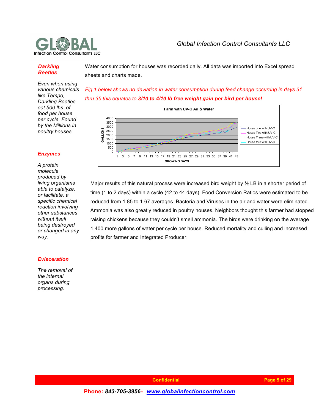

#### **Darkling Beetles**

Water consumption for houses was recorded daily. All data was imported into Excel spread sheets and charts made.

*Even when using various chemicals like Tempo, Darkling Beetles eat 500 lbs. of food per house per cycle. Found by the Millions in poultry houses.*

*Fig.1 below shows no deviation in water consumption during feed change occurring in days 31 thru 35 this equates to 3/10 to 4/10 lb free weight gain per bird per house!*



Major results of this natural process were increased bird weight by  $\frac{1}{2}$  LB in a shorter period of time (1 to 2 days) within a cycle (42 to 44 days). Food Conversion Ratios were estimated to be reduced from 1.85 to 1.67 averages. Bacteria and Viruses in the air and water were eliminated. Ammonia was also greatly reduced in poultry houses. Neighbors thought this farmer had stopped raising chickens because they couldn't smell ammonia. The birds were drinking on the average 1,400 more gallons of water per cycle per house. Reduced mortality and culling and increased profits for farmer and Integrated Producer.

#### *Enzymes*

*A protein molecule produced by living organisms able to catalyze, or facilitate, a specific chemical reaction involving other substances without itself being destroyed or changed in any way.*

#### *Evisceration*

*The removal of the internal organs during processing.*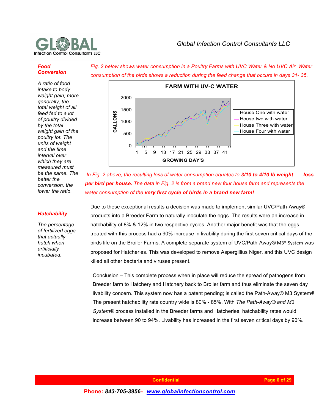

#### *Food Conversion*

*A ratio of food intake to body weight gain; more generally, the total weight of all feed fed to a lot of poultry divided by the total weight gain of the poultry lot. The units of weight and the time interval over which they are measured must be the same. The better the conversion, the lower the ratio.*



*Fig. 2 below shows water consumption in a Poultry Farms with UVC Water & No UVC Air. Water* 

*In Fig. 2 above, the resulting loss of water consumption equates to 3/10 to 4/10 lb weight loss per bird per house. The data in Fig. 2 is from a brand new four house farm and represents the water consumption of the very first cycle of birds in a brand new farm!*

#### *Hatchability*

*The percentage of fertilized eggs that actually hatch when artificially incubated.*

Due to these exceptional results a decision was made to implement similar UVC/Path-Away® products into a Breeder Farm to naturally inoculate the eggs. The results were an increase in hatchability of 8% & 12% in two respective cycles. Another major benefit was that the eggs treated with this process had a 90% increase in livability during the first seven critical days of the birds life on the Broiler Farms. A complete separate system of UVC/Path-Away® M3® System was proposed for Hatcheries. This was developed to remove Aspergillius Niger, and this UVC design killed all other bacteria and viruses present.

Conclusion – This complete process when in place will reduce the spread of pathogens from Breeder farm to Hatchery and Hatchery back to Broiler farm and thus eliminate the seven day livability concern. This system now has a patent pending; is called the Path-Away® M3 System*®*. The present hatchability rate country wide is 80% - 85%. With *The Path-Away® and M3 System®* process installed in the Breeder farms and Hatcheries, hatchability rates would increase between 90 to 94%. Livability has increased in the first seven critical days by 90%.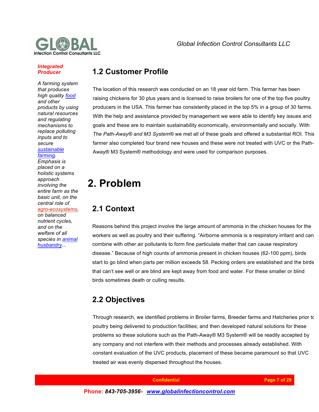

#### *Integrated Producer*

*A farming system that produces high quality food and other products by using natural resources and regulating mechanisms to replace polluting inputs and to secure* 

#### *sustainable farming.*

*Emphasis is placed on a holistic systems approach involving the entire farm as the basic unit, on the central role of* 

#### *agro-ecosystems,*

*on balanced nutrient cycles, and on the welfare of all species in animal husbandry...*

### **1.2 Customer Profile**

The location of this research was conducted on an 18 year old farm. This farmer has been raising chickens for 30 plus years and is licensed to raise broilers for one of the top five poultry producers in the USA. This farmer has consistently placed in the top 5% in a group of 30 farms. With the help and assistance provided by management we were able to identify key issues and goals and these are to maintain sustainability economically, environmentally and socially. With *The Path-Away® and M3 System®* we met all of these goals and offered a substantial ROI. This farmer also completed four brand new houses and these were not treated with UVC or the Path-Away® M3 System® methodology and were used for comparison purposes.

# **2. Problem**

### **2.1 Context**

Reasons behind this project involve the large amount of ammonia in the chicken houses for the workers as well as poultry and their suffering. "Airborne ammonia is a respiratory irritant and can combine with other air pollutants to form fine particulate matter that can cause respiratory disease." Because of high counts of ammonia present in chicken houses (62-100 ppm), birds start to go blind when parts per million exceeds 58. Pecking orders are established and the birds that can't see well or are blind are kept away from food and water. For these smaller or blind birds sometimes death or culling results.

### **2.2 Objectives**

Through research, we identified problems in Broiler farms, Breeder farms and Hatcheries prior to poultry being delivered to production facilities; and then developed natural solutions for these problems so these solutions such as the Path-Away® M3 System® will be readily accepted by any company and not interfere with their methods and processes already established. With constant evaluation of the UVC products, placement of these became paramount so that UVC treated air was evenly dispersed throughout the houses.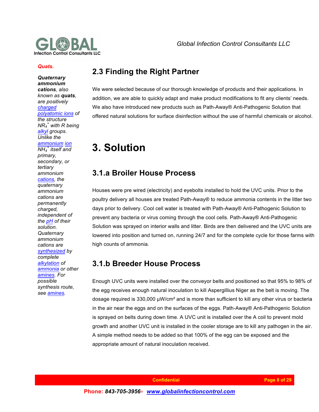

#### *Quats.*

*Quaternary ammonium cations, also known as quats, are positively charged polyatomic ions of the structure NR4 <sup>+</sup> with R being alkyl groups. Unlike the ammonium ion*  $\overline{NH_4}^*$  *itself* and *primary, secondary, or tertiary ammonium cations, the quaternary ammonium cations are permanently charged, independent of the pH of their solution. Quaternary ammonium cations are synthesized by complete alkylation of ammonia or other amines. For possible synthesis route, see amines.*

### **2.3 Finding the Right Partner**

We were selected because of our thorough knowledge of products and their applications. In addition, we are able to quickly adapt and make product modifications to fit any clients' needs. We also have introduced new products such as Path-Away® Anti-Pathogenic Solution that offered natural solutions for surface disinfection without the use of harmful chemicals or alcohol.

# **3. Solution**

### **3.1.a Broiler House Process**

Houses were pre wired (electricity) and eyebolts installed to hold the UVC units. Prior to the poultry delivery all houses are treated Path-Away® to reduce ammonia contents in the litter two days prior to delivery. Cool cell water is treated with Path-Away® Anti-Pathogenic Solution to prevent any bacteria or virus coming through the cool cells. Path-Away® Anti-Pathogenic Solution was sprayed on interior walls and litter. Birds are then delivered and the UVC units are lowered into position and turned on, running 24/7 and for the complete cycle for those farms with high counts of ammonia.

### **3.1.b Breeder House Process**

Enough UVC units were installed over the conveyor belts and positioned so that 95% to 98% of the egg receives enough natural inoculation to kill Aspergillius Niger as the belt is moving. The dosage required is 330,000 µW/cm² and is more than sufficient to kill any other virus or bacteria in the air near the eggs and on the surfaces of the eggs. Path-Away® Anti-Pathogenic Solution is sprayed on belts during down time. A UVC unit is installed over the A coil to prevent mold growth and another UVC unit is installed in the cooler storage are to kill any pathogen in the air. A simple method needs to be added so that 100% of the egg can be exposed and the appropriate amount of natural inoculation received.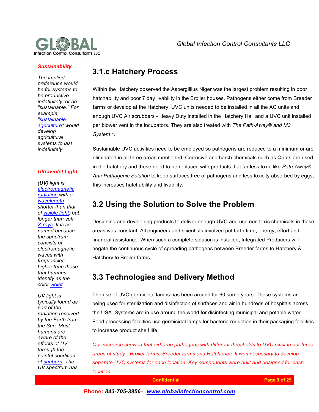

#### *Sustainability*

*The implied preference would be for systems to be productive indefinitely, or be "sustainable." For example, "sustainable agriculture" would develop agricultural systems to last indefinitely.*

#### *Ultraviolet Light*

*(UV) light is electromagnetic radiation with a wavelength shorter than that of visible light, but longer than soft X-rays. It is so named because the spectrum consists of electromagnetic waves with frequencies higher than those that humans identify as the color violet.*

*UV light is typically found as part of the radiation received by the Earth from the Sun. Most humans are aware of the effects of UV through the painful condition of sunburn. The UV spectrum has* 

### **3.1.c Hatchery Process**

Within the Hatchery observed the Aspergillius Niger was the largest problem resulting in poor hatchability and poor 7 day livability in the Broiler houses. Pathogens either come from Breeder farms or develop at the Hatchery. UVC units needed to be installed in all the AC units and enough UVC Air scrubbers - Heavy Duty installed in the Hatchery Hall and a UVC unit installed per blower vent in the incubators. They are also treated with *The Path-Away® and M3 System*™.

Sustainable UVC activities need to be employed so pathogens are reduced to a minimum or are eliminated in all three areas mentioned. Corrosive and harsh chemicals such as Quats are used in the hatchery and these need to be replaced with products that far less toxic like *Path-Away® Anti-Pathogenic Solution* to keep surfaces free of pathogens and less toxicity absorbed by eggs, this increases hatchability and livability.

### **3.2 Using the Solution to Solve the Problem**

Designing and developing products to deliver enough UVC and use non toxic chemicals in these areas was constant. All engineers and scientists involved put forth time, energy, effort and financial assistance. When such a complete solution is installed, Integrated Producers will negate the continuous cycle of spreading pathogens between Breeder farms to Hatchery & Hatchery to Broiler farms.

### **3.3 Technologies and Delivery Method**

The use of UVC germicidal lamps has been around for 60 some years. These systems are being used for sterilization and disinfection of surfaces and air in hundreds of hospitals across the USA. Systems are in use around the world for disinfecting municipal and potable water. Food processing facilities use germicidal lamps for bacteria reduction in their packaging facilities to increase product shelf life.

*Our research showed that airborne pathogens with different thresholds to UVC exist in our three areas of study - Broiler farms, Breeder farms and Hatcheries. It was necessary to develop separate UVC systems for each location. Key components were built and designed for each location.*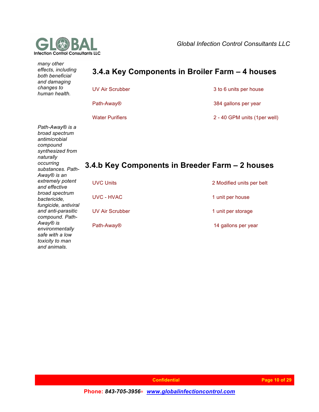

*and animals.* 

**Global Infection Control Consultants LLC** 

| many other<br>effects, including<br>both beneficial<br>and damaging                                                                                          |                        | 3.4.a Key Components in Broiler Farm - 4 houses |
|--------------------------------------------------------------------------------------------------------------------------------------------------------------|------------------------|-------------------------------------------------|
| changes to<br>human health.                                                                                                                                  | <b>UV Air Scrubber</b> | 3 to 6 units per house                          |
|                                                                                                                                                              | Path-Away <sup>®</sup> | 384 gallons per year                            |
|                                                                                                                                                              | <b>Water Purifiers</b> | 2 - 40 GPM units (1per well)                    |
| Path-Away® is a<br>broad spectrum<br>antimicrobial<br>compound<br>synthesized from<br>naturally<br>occurring<br>substances. Path-<br>Away <sup>®</sup> is an |                        | 3.4.b Key Components in Breeder Farm - 2 houses |
| extremely potent<br>and effective                                                                                                                            | <b>UVC Units</b>       | 2 Modified units per belt                       |
| broad spectrum<br>bactericide,<br>fungicide, antiviral                                                                                                       | <b>UVC - HVAC</b>      | 1 unit per house                                |
| and anti-parasitic<br>compound. Path-                                                                                                                        | <b>UV Air Scrubber</b> | 1 unit per storage                              |
| Away <sup>®</sup> is<br>environmentally<br>safe with a low<br>toxicity to man                                                                                | Path-Away <sup>®</sup> | 14 gallons per year                             |

 **Confidential Page 10 14/07/2016 Page 10 of 29**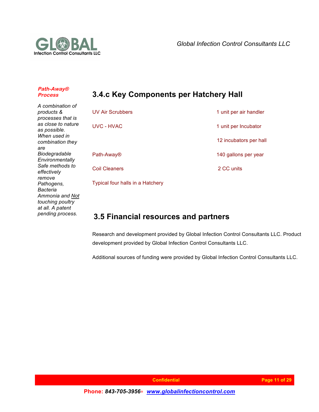

#### **Path-Away® Process**

## **3.4.c Key Components per Hatchery Hall**

*A combination of products & processes that is as close to nature as possible. When used in combination they are Biodegradable Environmentally Safe methods to effectively remove Pathogens, Bacteria Ammonia and Not touching poultry at all. A patent pending process.*

| <b>UV Air Scrubbers</b> | 1 unit per air handler |
|-------------------------|------------------------|
| <b>UVC - HVAC</b>       | 1 unit per Incubator   |
|                         | 12 incubators per hall |
| Path-Away <sup>®</sup>  | 140 gallons per year   |
| <b>Coil Cleaners</b>    | 2 CC units             |
|                         |                        |

Typical four halls in a Hatchery

### **3.5 Financial resources and partners**

Research and development provided by Global Infection Control Consultants LLC. Product development provided by Global Infection Control Consultants LLC.

Additional sources of funding were provided by Global Infection Control Consultants LLC.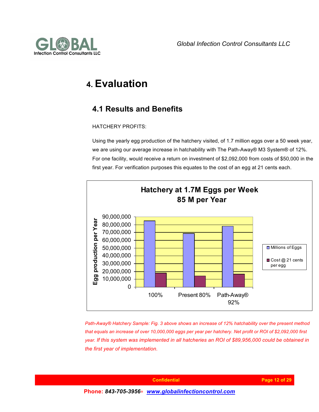



# **4. Evaluation**

### **4.1 Results and Benefits**

#### HATCHERY PROFITS:

Using the yearly egg production of the hatchery visited, of 1.7 million eggs over a 50 week year, we are using our average increase in hatchability with The Path-Away® M3 System® of 12%. For one facility, would receive a return on investment of \$2,092,000 from costs of \$50,000 in the first year. For verification purposes this equates to the cost of an egg at 21 cents each.



*Path-Away® Hatchery Sample: Fig. 3 above shows an increase of 12% hatchability over the present method that equals an increase of over 10,000,000 eggs per year per hatchery. Net profit or ROI of \$2,092,000 first year. If this system was implemented in all hatcheries an ROI of \$89,956,000 could be obtained in the first year of implementation.*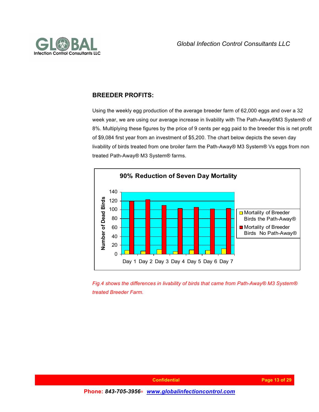

### **BREEDER PROFITS:**

Using the weekly egg production of the average breeder farm of 62,000 eggs and over a 32 week year, we are using our average increase in livability with The Path-Away®M3 System® of 8%. Multiplying these figures by the price of 9 cents per egg paid to the breeder this is net profit of \$9,084 first year from an investment of \$5,200. The chart below depicts the seven day livability of birds treated from one broiler farm the Path-Away® M3 System® Vs eggs from non treated Path-Away® M3 System® farms.



*Fig.4 shows the differences in livability of birds that came from Path-Away® M3 System® treated Breeder Farm.*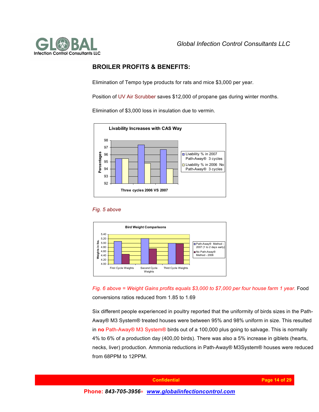

#### **BROILER PROFITS & BENEFITS:**

Elimination of Tempo type products for rats and mice \$3,000 per year.

Position of UV Air Scrubber saves \$12,000 of propane gas during winter months.

Elimination of \$3,000 loss in insulation due to vermin.







*Fig. 6 above = Weight Gains profits equals \$3,000 to \$7,000 per four house farm 1 year.* Food conversions ratios reduced from 1.85 to 1.69

Six different people experienced in poultry reported that the uniformity of birds sizes in the Path-Away® M3 System® treated houses were between 95% and 98% uniform in size. This resulted in **no** Path-Away® M3 System® birds out of a 100,000 plus going to salvage. This is normally 4% to 6% of a production day (400,00 birds). There was also a 5% increase in giblets (hearts, necks, liver) production. Ammonia reductions in Path-Away® M3System® houses were reduced from 68PPM to 12PPM.

 **Confidential <b>Page 14 of 29 Phone:** *843-705-3956*∗ *www.globalinfectioncontrol.com*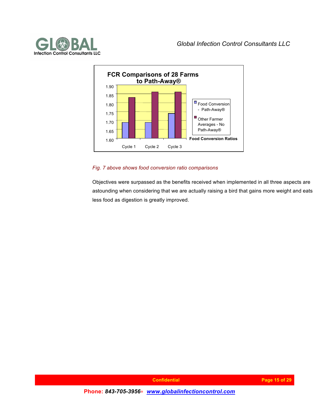



#### *Fig. 7 above shows food conversion ratio comparisons*

Objectives were surpassed as the benefits received when implemented in all three aspects are astounding when considering that we are actually raising a bird that gains more weight and eats less food as digestion is greatly improved.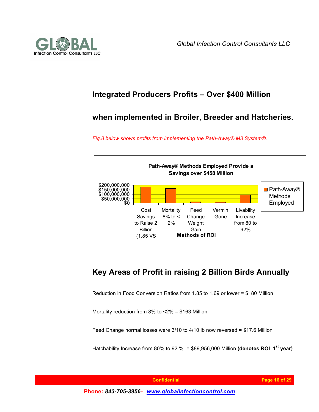



### **Integrated Producers Profits – Over \$400 Million**

### **when implemented in Broiler, Breeder and Hatcheries.**

*Fig.8 below shows profits from implementing the Path-Away® M3 System®.*



### **Key Areas of Profit in raising 2 Billion Birds Annually**

Reduction in Food Conversion Ratios from 1.85 to 1.69 or lower = \$180 Million

Mortality reduction from 8% to <2% = \$163 Million

Feed Change normal losses were 3/10 to 4/10 lb now reversed = \$17.6 Million

Hatchability Increase from 80% to 92 % = \$89,956,000 Million **(denotes ROI 1st year)**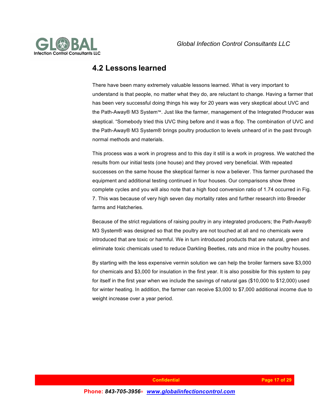

### **4.2 Lessons learned**

There have been many extremely valuable lessons learned. What is very important to understand is that people, no matter what they do, are reluctant to change. Having a farmer that has been very successful doing things his way for 20 years was very skeptical about UVC and the Path-Away® M3 System™. Just like the farmer, management of the Integrated Producer was skeptical. "Somebody tried this UVC thing before and it was a flop. The combination of UVC and the Path-Away® M3 System® brings poultry production to levels unheard of in the past through normal methods and materials.

This process was a work in progress and to this day it still is a work in progress. We watched the results from our initial tests (one house) and they proved very beneficial. With repeated successes on the same house the skeptical farmer is now a believer. This farmer purchased the equipment and additional testing continued in four houses. Our comparisons show three complete cycles and you will also note that a high food conversion ratio of 1.74 occurred in Fig. 7. This was because of very high seven day mortality rates and further research into Breeder farms and Hatcheries.

Because of the strict regulations of raising poultry in any integrated producers; the Path-Away® M3 System® was designed so that the poultry are not touched at all and no chemicals were introduced that are toxic or harmful. We in turn introduced products that are natural, green and eliminate toxic chemicals used to reduce Darkling Beetles, rats and mice in the poultry houses.

By starting with the less expensive vermin solution we can help the broiler farmers save \$3,000 for chemicals and \$3,000 for insulation in the first year. It is also possible for this system to pay for itself in the first year when we include the savings of natural gas (\$10,000 to \$12,000) used for winter heating. In addition, the farmer can receive \$3,000 to \$7,000 additional income due to weight increase over a year period.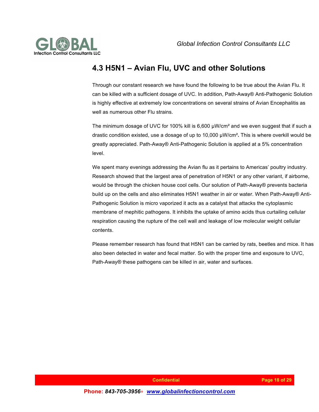

### **4.3 H5N1 – Avian Flu, UVC and other Solutions**

Through our constant research we have found the following to be true about the Avian Flu. It can be killed with a sufficient dosage of UVC. In addition, Path-Away® Anti-Pathogenic Solution is highly effective at extremely low concentrations on several strains of Avian Encephalitis as well as numerous other Flu strains.

The minimum dosage of UVC for 100% kill is 6,600 µW/cm<sup>2</sup> and we even suggest that if such a drastic condition existed, use a dosage of up to 10,000 µW/cm²**.** This is where overkill would be greatly appreciated. Path-Away® Anti-Pathogenic Solution is applied at a 5% concentration level.

We spent many evenings addressing the Avian flu as it pertains to Americas' poultry industry. Research showed that the largest area of penetration of H5N1 or any other variant, if airborne, would be through the chicken house cool cells. Our solution of Path-Away® prevents bacteria build up on the cells and also eliminates H5N1 weather in air or water. When Path-Away® Anti-Pathogenic Solution is micro vaporized it acts as a catalyst that attacks the cytoplasmic membrane of mephitic pathogens. It inhibits the uptake of amino acids thus curtailing cellular respiration causing the rupture of the cell wall and leakage of low molecular weight cellular contents.

Please remember research has found that H5N1 can be carried by rats, beetles and mice. It has also been detected in water and fecal matter. So with the proper time and exposure to UVC, Path-Away® these pathogens can be killed in air, water and surfaces.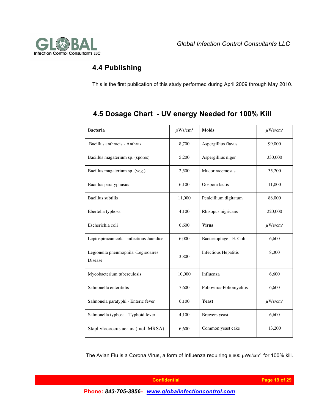

### **4.4 Publishing**

This is the first publication of this study performed during April 2009 through May 2010.

| <b>Bacteria</b>                                | $\mu$ Ws/cm <sup>2</sup> | <b>Molds</b>                | $\mu$ Ws/cm <sup>2</sup> |
|------------------------------------------------|--------------------------|-----------------------------|--------------------------|
| Bacillus anthracis - Anthrax                   | 8,700                    | Aspergillius flavus         | 99,000                   |
| Bacillus magaterium sp. (spores)               | 5,200                    | Aspergillius niger          | 330,000                  |
| Bacillus magaterium sp. (veg.)                 | 2,500                    | Mucor racemosus             | 35,200                   |
| Bacillus paratyphusus                          | 6,100                    | Oospora lactis              | 11,000                   |
| <b>Bacillus</b> subtilis                       | 11,000                   | Penicillium digitatum       | 88,000                   |
| Ebertelia typhosa                              | 4,100                    | Rhisopus nigricans          | 220,000                  |
| Escherichia coli                               | 6,600                    | <b>Virus</b>                | $\mu$ Ws/cm <sup>2</sup> |
| Leptospiracanicola - infectious Jaundice       | 6,000                    | Bacteriopfage - E. Coli     | 6,600                    |
| Legionella pneumophila -Legiooaires<br>Disease | 3,800                    | <b>Infectious Hepatitis</b> | 8,000                    |
| Mycobacterium tuberculosis                     | 10,000                   | Influenza                   | 6,600                    |
| Salmonella enteritidis                         | 7,600                    | Poliovirus-Poliomyelitis    | 6,600                    |
| Salmonela paratyphi - Enteric fever            | 6,100                    | Yeast                       | $\mu$ Ws/cm <sup>2</sup> |
| Salmonella typhosa - Typhoid fever             | 4,100                    | Brewers yeast               | 6,600                    |
| Staphylococcus aerius (incl. MRSA)             | 6,600                    | Common yeast cake           | 13,200                   |

### **4.5 Dosage Chart - UV energy Needed for 100% Kill**

The Avian Flu is a Corona Virus, a form of Influenza requiring  $6,600 \mu Ws/cm^2$  for 100% kill.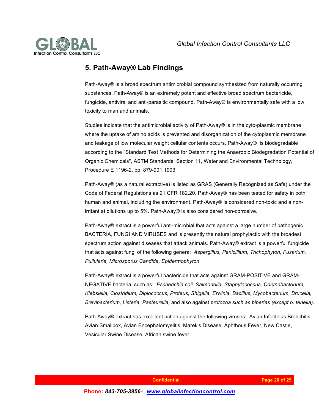

### **5. Path-Away® Lab Findings**

Path-Away® is a broad spectrum antimicrobial compound synthesized from naturally occurring substances. Path-Away® is an extremely potent and effective broad spectrum bactericide, fungicide, antiviral and anti-parasitic compound. Path-Away® is environmentally safe with a low toxicity to man and animals.

Studies indicate that the antimicrobial activity of Path-Away® is in the cyto-plasmic membrane where the uptake of amino acids is prevented and disorganization of the cytoplasmic membrane and leakage of low molecular weight cellular contents occurs. Path-Away® is biodegradable according to the "Standard Test Methods for Determining the Anaerobic Biodegradation Potential of Organic Chemicals", ASTM Standards, Section 11, Water and Environmental Technology, Procedure E 1196-2, pp. 879-901,1993.

Path-Away® (as a natural extractive) is listed as GRAS (Generally Recognized as Safe) under the Code of Federal Regulations as 21 CFR 182.20. Path-Away® has been tested for safety in both human and animal, including the environment. Path-Away® is considered non-toxic and a nonirritant at dilutions up to 5%. Path-Away® is also considered non-corrosive.

Path-Away® extract is a powerful anti-microbial that acts against a large number of pathogenic BACTERIA, FUNGI AND VIRUSES and is presently the natural prophylactic with the broadest spectrum action against diseases that attack animals. Path-Away® extract is a powerful fungicide that acts against fungi of the following genera: *Aspergillus, Penicillium, Trichophyton, Fusarium, Pullularia, Microsporus Candida, Epidermophyton.*

Path-Away® extract is a powerful bactericide that acts against GRAM-POSITIVE and GRAM-NEGATIVE bacteria, such as: *Escherichia coli, Salmonella, Staphylococcus, Corynebacterium, Klebsiella, Clostridium, Diplococcus, Proteus, Shigella, Erwinia, Bacillus, Mycobacterium, Brucella, Brevibacterium, Listeria, Pasteurella,* and also against *protozoa such as biperias (except b. tenella).*

Path-Away® extract has excellent action against the following viruses: Avian Infectious Bronchitis, Avian Smallpox, Avian Encephalomyelitis, Marek's Disease, Aphthous Fever, New Castle, Vesicular Swine Disease, African swine fever.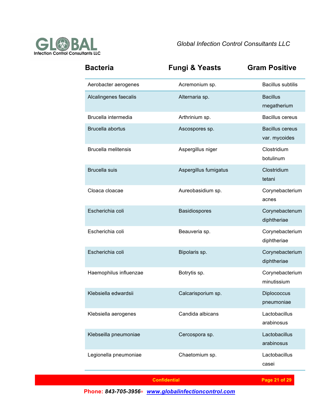

| <b>Bacteria</b>            | <b>Fungi &amp; Yeasts</b> | <b>Gram Positive</b>                    |
|----------------------------|---------------------------|-----------------------------------------|
| Aerobacter aerogenes       | Acremonium sp.            | <b>Bacillus subtilis</b>                |
| Alcalingenes faecalis      | Alternaria sp.            | <b>Bacillus</b><br>rnegatherium         |
| Brucella intermedia        | Arthrinium sp.            | <b>Bacillus cereus</b>                  |
| Brucella abortus           | Ascospores sp.            | <b>Bacillus cereus</b><br>var. mycoides |
| <b>Brucella melitensis</b> | Aspergillus niger         | Clostridium<br>botulinum                |
| <b>Brucella</b> suis       | Aspergillus fumigatus     | Clostridium<br>tetani                   |
| Cloaca cloacae             | Aureobasidium sp.         | Corynebacterium<br>acnes                |
| Escherichia coli           | Basidiospores             | Corynebactenum<br>diphtheriae           |
| Escherichia coli           | Beauveria sp.             | Corynebacterium<br>diphtheriae          |
| Escherichia coli           | Bipolaris sp.             | Corynebacterium<br>diphtheriae          |
| Haemophilus influenzae     | Botrytis sp.              | Corynebacterium<br>minutissium          |
| Klebsiella edwardsii       | Calcarisporium sp.        | Diplococcus<br>pneumoniae               |
| Klebsiella aerogenes       | Candida albicans          | Lactobacillus<br>arabinosus             |
| Klebseilla pneumoniae      | Cercospora sp.            | Lactobacillus<br>arabinosus             |
| Legionella pneumoniae      | Chaetomium sp.            | Lactobacillus<br>casei                  |

 **Confidential Page 21 14/07/2016 Page 21 of 29**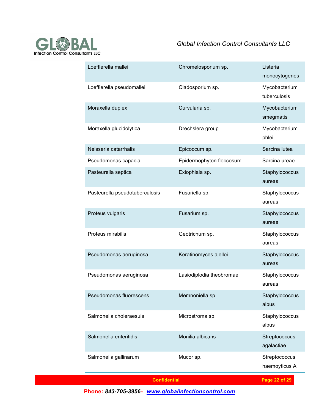

| Loefflerella mallei            | Chromelosporium sp.      | Listeria<br>monocytogenes      |
|--------------------------------|--------------------------|--------------------------------|
| Loefflerella pseudomallei      | Cladosporium sp.         | Mycobacterium<br>tuberculosis  |
| Moraxella duplex               | Curvularia sp.           | Mycobacterium<br>smegmatis     |
| Moraxella glucidolytica        | Drechslera group         | Mycobacterium<br>phlei         |
| Neisseria catarrhalis          | Epicoccum sp.            | Sarcina lutea                  |
| Pseudomonas capacia            | Epidermophyton floccosum | Sarcina ureae                  |
| Pasteurella septica            | Exiophiala sp.           | Staphylococcus<br>aureas       |
| Pasteurella pseudotuberculosis | Fusariella sp.           | Staphylococcus<br>aureas       |
| Proteus vulgaris               | Fusarium sp.             | Staphylococcus<br>aureas       |
| Proteus mirabilis              | Geotrichum sp.           | Staphylococcus<br>aureas       |
| Pseudomonas aeruginosa         | Keratinomyces ajelloi    | Staphylococcus<br>aureas       |
| Pseudomonas aeruginosa         | Lasiodiplodia theobromae | Staphylococcus<br>aureas       |
| Pseudomonas fluorescens        | Memnoniella sp.          | Staphylococcus<br>albus        |
| Salmonella choleraesuis        | Microstroma sp.          | Staphylococcus<br>albus        |
| Salmonella enteritidis         | Monilia albicans         | Streptococcus<br>agalactiae    |
| Salmonella gallinarum          | Mucor sp.                | Streptococcus<br>haemoyticus A |
| <b>Confidential</b>            |                          | Page 22 of 29                  |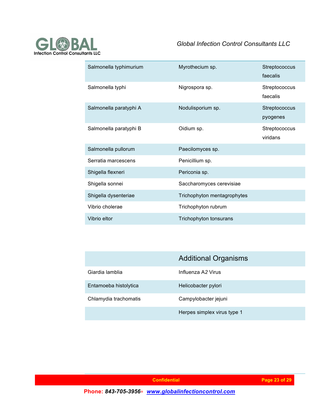

| Salmonella typhimurium | Myrothecium sp.             | Streptococcus<br>faecalis |
|------------------------|-----------------------------|---------------------------|
| Salmonella typhi       | Nigrospora sp.              | Streptococcus<br>faecalis |
| Salmonella paratyphi A | Nodulisporium sp.           | Streptococcus<br>pyogenes |
| Salmonella paratyphi B | Oidium sp.                  | Streptococcus<br>viridans |
| Salmonella pullorum    | Paecilomyces sp.            |                           |
| Serratia marcescens    | Penicillium sp.             |                           |
| Shigella flexneri      | Periconia sp.               |                           |
| Shigella sonnei        | Saccharomyces cerevisiae    |                           |
| Shigella dysenteriae   | Trichophyton mentagrophytes |                           |
| Vibrio cholerae        | Trichophyton rubrum         |                           |
| Vibrio eltor           | Trichophyton tonsurans      |                           |

|                       | <b>Additional Organisms</b> |
|-----------------------|-----------------------------|
| Giardia lamblia       | Influenza A2 Virus          |
| Entamoeba histolytica | Helicobacter pylori         |
| Chlamydia trachomatis | Campylobacter jejuni        |
|                       | Herpes simplex virus type 1 |

 **Page 23 of 29**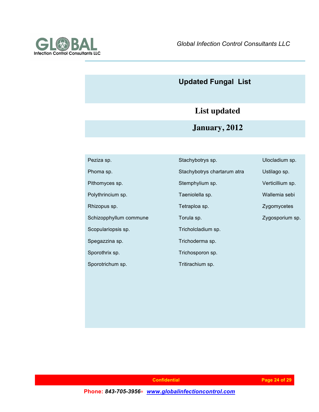

## **Updated Fungal List**

# **List updated**

**January, 2012**

| Peziza sp.             | Stachybotrys sp.            | Ulocladium sp.   |
|------------------------|-----------------------------|------------------|
| Phoma sp.              | Stachybotrys chartarum atra | Ustilago sp.     |
| Pithomyces sp.         | Stemphylium sp.             | Verticillium sp. |
| Polythrincium sp.      | Taeniolella sp.             | Wallemia sebi    |
| Rhizopus sp.           | Tetraploa sp.               | Zygomycetes      |
| Schizopphyllum commune | Torula sp.                  | Zygosporium sp.  |
| Scopulariopsis sp.     | Tricholcladium sp.          |                  |
| Spegazzina sp.         | Trichoderma sp.             |                  |
| Sporothrix sp.         | Trichosporon sp.            |                  |
| Sporotrichum sp.       | Tritirachium sp.            |                  |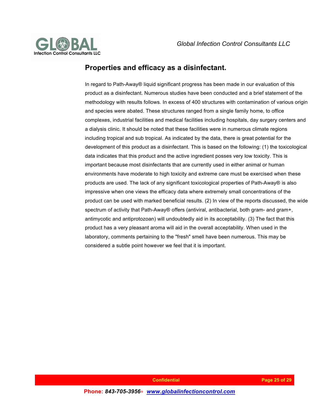

### **Properties and efficacy as a disinfectant.**

In regard to Path-Away® liquid significant progress has been made in our evaluation of this product as a disinfectant. Numerous studies have been conducted and a brief statement of the methodology with results follows. In excess of 400 structures with contamination of various origin and species were abated. These structures ranged from a single family home, to office complexes, industrial facilities and medical facilities including hospitals, day surgery centers and a dialysis clinic. It should be noted that these facilities were in numerous climate regions including tropical and sub tropical. As indicated by the data, there is great potential for the development of this product as a disinfectant. This is based on the following: (1) the toxicological data indicates that this product and the active ingredient posses very low toxicity. This is important because most disinfectants that are currently used in either animal or human environments have moderate to high toxicity and extreme care must be exercised when these products are used. The lack of any significant toxicological properties of Path-Away® is also impressive when one views the efficacy data where extremely small concentrations of the product can be used with marked beneficial results. (2) In view of the reports discussed, the wide spectrum of activity that Path-Away® offers (antiviral, antibacterial, both gram- and gram+, antimycotic and antiprotozoan) will undoubtedly aid in its acceptability. (3) The fact that this product has a very pleasant aroma will aid in the overall acceptability. When used in the laboratory, comments pertaining to the "fresh" smell have been numerous. This may be considered a subtle point however we feel that it is important.

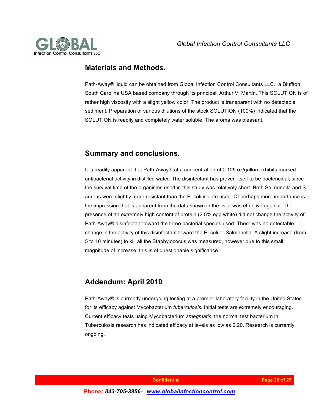

### **Materials and Methods.**

Path-Away® liquid can be obtained from Global Infection Control Consultants LLC., a Bluffton, South Carolina USA based company through its principal, Arthur V. Martin. This SOLUTION is of rather high viscosity with a slight yellow color. The product is transparent with no detectable sediment. Preparation of various dilutions of the stock SOLUTION (100%) indicated that the SOLUTION is readily and completely water soluble. The aroma was pleasant.

### **Summary and conclusions.**

It is readily apparent that Path-Away® at a concentration of 0.125 oz/gallon exhibits marked antibacterial activity in distilled water. The disinfectant has proven itself to be bactericidal, since the survival time of the organisms used in this study was relatively short. Both Salmonella and S. aureus were slightly more resistant than the E. coli isolate used. Of perhaps more importance is the impression that is apparent from the data shown in the list it was effective against. The presence of an extremely high content of protein (2.5% egg white) did not change the activity of Path-Away® disinfectant toward the three bacterial species used. There was no detectable change in the activity of this disinfectant toward the E. coli or Salmonella. A slight increase (from 5 to 10 minutes) to kill all the Staphylococus was measured, however due to this small magnitude of increase, this is of questionable significance.

### **Addendum: April 2010**

Path-Away® is currently undergoing testing at a premier laboratory facility in the United States for its efficacy against Mycobacterium *tuberculosis.* Initial tests are extremely encouraging. Current efficacy tests using Mycobacterium *smegmatis*, the normal test bacterium in Tuberculosis research has indicated efficacy at levels as low as 0.20. Research is currently ongoing.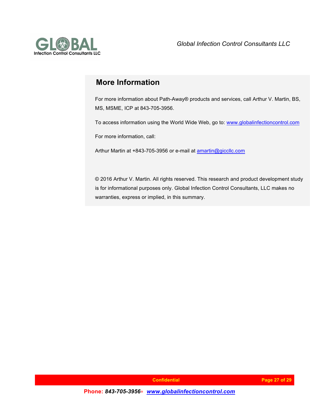

### **More Information**

For more information about Path-Away® products and services, call Arthur V. Martin, BS, MS, MSME, ICP at 843-705-3956.

To access information using the World Wide Web, go to: www.globalinfectioncontrol.com

For more information, call:

Arthur Martin at +843-705-3956 or e-mail at amartin@giccllc.com

© 2016 Arthur V. Martin. All rights reserved. This research and product development study is for informational purposes only. Global Infection Control Consultants, LLC makes no warranties, express or implied, in this summary.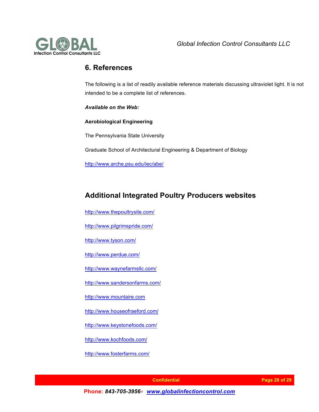

### **6. References**

The following is a list of readily available reference materials discussing ultraviolet light. It is not intended to be a complete list of references.

*Available on the Web:* 

**Aerobiological Engineering**

The Pennsylvania State University

Graduate School of Architectural Engineering & Department of Biology

http://www.arche.psu.edu/iec/abe/

### **Additional Integrated Poultry Producers websites**

http://www.thepoultrysite.com/

http://www.pilgrimspride.com/

http://www.tyson.com/

http://www.perdue.com/

http://www.waynefarmsllc.com/

http://www.sandersonfarms.com/

http://www.mountaire.com

http://www.houseofraeford.com/

http://www.keystonefoods.com/

http://www.kochfoods.com/

http://www.fosterfarms.com/

 **Page 28 of 29 Internal confidential**